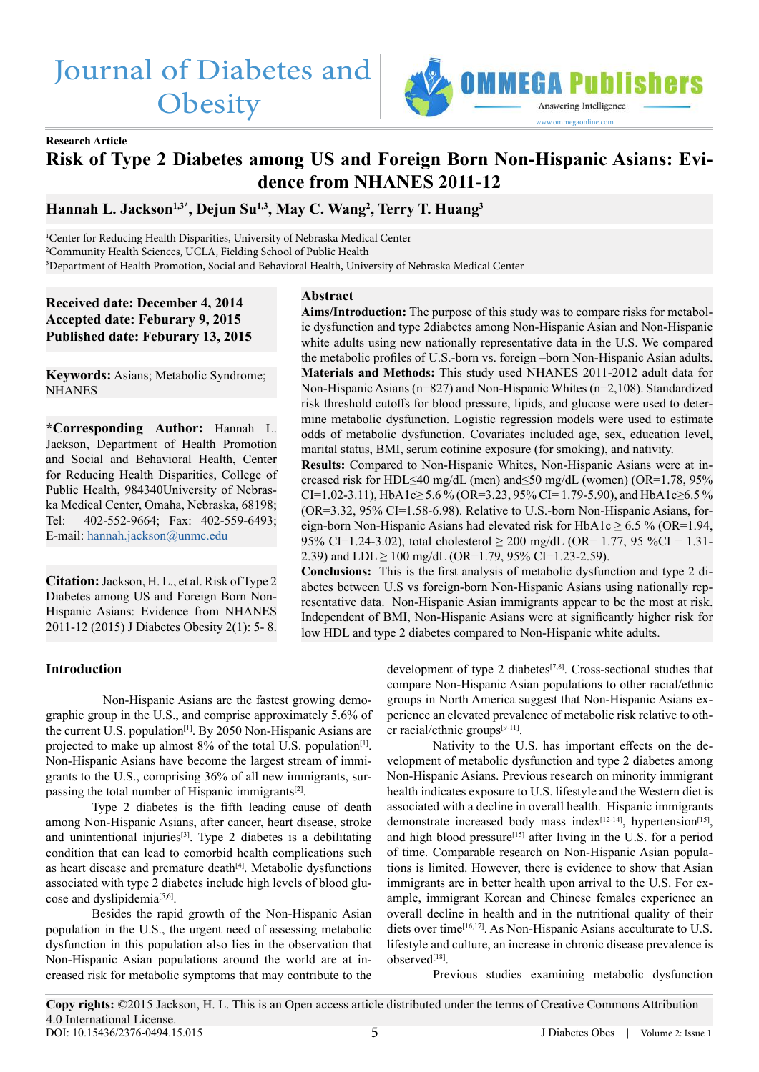# Journal of Diabetes and **Obesity**



#### **Research Article**

# **Risk of Type 2 Diabetes among US and Foreign Born Non-Hispanic Asians: Evidence from NHANES 2011-12**

**Hannah L. Jackson1,3\*, Dejun Su1,3, May C. Wang2 , Terry T. Huang3**

1 Center for Reducing Health Disparities, University of Nebraska Medical Center 2 Community Health Sciences, UCLA, Fielding School of Public Health 3 Department of Health Promotion, Social and Behavioral Health, University of Nebraska Medical Center

**Received date: December 4, 2014 Accepted date: Feburary 9, 2015 Published date: Feburary 13, 2015**

**Keywords:** Asians; Metabolic Syndrome; **NHANES** 

**\*Corresponding Author:** Hannah L. Jackson, Department of Health Promotion and Social and Behavioral Health, Center for Reducing Health Disparities, College of Public Health, 984340University of Nebraska Medical Center, Omaha, Nebraska, 68198; Tel: 402-552-9664; Fax: 402-559-6493; E-mail: [hannah.jackson@unmc.edu](mailto:hannah.jackson%40unmc.edu?subject=)

**Citation:** Jackson, H. L., et al. Risk of Type 2 Diabetes among US and Foreign Born Non-Hispanic Asians: Evidence from NHANES 2011-12 (2015) J Diabetes Obesity 2(1): 5- 8.

#### **Introduction**

 Non-Hispanic Asians are the fastest growing demographic group in the U.S., and comprise approximately 5.6% of the current U.S. population<sup>[1]</sup>. By 2050 Non-Hispanic Asians are projected to make up almost  $8\%$  of the total U.S. population<sup>[1]</sup>. Non-Hispanic Asians have become the largest stream of immigrants to the U.S., comprising 36% of all new immigrants, surpassing the total number of Hispanic immigrants<sup>[2]</sup>.

Type 2 diabetes is the fifth leading cause of death among Non-Hispanic Asians, after cancer, heart disease, stroke and unintentional injuries<sup>[3]</sup>. Type 2 diabetes is a debilitating condition that can lead to comorbid health complications such as heart disease and premature death<sup>[4]</sup>. Metabolic dysfunctions associated with type 2 diabetes include high levels of blood glucose and dyslipidemia<sup>[5,6]</sup>.

Besides the rapid growth of the Non-Hispanic Asian population in the U.S., the urgent need of assessing metabolic dysfunction in this population also lies in the observation that Non-Hispanic Asian populations around the world are at increased risk for metabolic symptoms that may contribute to the

#### **Abstract**

**Aims/Introduction:** The purpose of this study was to compare risks for metabolic dysfunction and type 2diabetes among Non-Hispanic Asian and Non-Hispanic white adults using new nationally representative data in the U.S. We compared the metabolic profiles of U.S.-born vs. foreign –born Non-Hispanic Asian adults. **Materials and Methods:** This study used NHANES 2011-2012 adult data for Non-Hispanic Asians (n=827) and Non-Hispanic Whites (n=2,108). Standardized risk threshold cutoffs for blood pressure, lipids, and glucose were used to determine metabolic dysfunction. Logistic regression models were used to estimate odds of metabolic dysfunction. Covariates included age, sex, education level, marital status, BMI, serum cotinine exposure (for smoking), and nativity.

**Results:** Compared to Non-Hispanic Whites, Non-Hispanic Asians were at increased risk for HDL≤40 mg/dL (men) and≤50 mg/dL (women) (OR=1.78, 95% CI=1.02-3.11), HbA1c≥ 5.6 % (OR=3.23, 95% CI= 1.79-5.90), and HbA1c≥6.5 %  $(OR=3.32, 95\% CI=1.58-6.98)$ . Relative to U.S.-born Non-Hispanic Asians, foreign-born Non-Hispanic Asians had elevated risk for  $HbA1c > 6.5\%$  (OR=1.94, 95% CI=1.24-3.02), total cholesterol  $\geq 200$  mg/dL (OR= 1.77, 95 %CI = 1.31-2.39) and LDL  $\geq 100$  mg/dL (OR=1.79, 95% CI=1.23-2.59).

**Conclusions:** This is the first analysis of metabolic dysfunction and type 2 diabetes between U.S vs foreign-born Non-Hispanic Asians using nationally representative data. Non-Hispanic Asian immigrants appear to be the most at risk. Independent of BMI, Non-Hispanic Asians were at significantly higher risk for low HDL and type 2 diabetes compared to Non-Hispanic white adults.

> development of type 2 diabetes<sup>[7,8]</sup>. Cross-sectional studies that compare Non-Hispanic Asian populations to other racial/ethnic groups in North America suggest that Non-Hispanic Asians experience an elevated prevalence of metabolic risk relative to other racial/ethnic groups<sup>[9-11]</sup>.

> Nativity to the U.S. has important effects on the development of metabolic dysfunction and type 2 diabetes among Non-Hispanic Asians. Previous research on minority immigrant health indicates exposure to U.S. lifestyle and the Western diet is associated with a decline in overall health. Hispanic immigrants demonstrate increased body mass index<sup>[12-14]</sup>, hypertension<sup>[15]</sup>, and high blood pressure<sup>[15]</sup> after living in the U.S. for a period of time. Comparable research on Non-Hispanic Asian populations is limited. However, there is evidence to show that Asian immigrants are in better health upon arrival to the U.S. For example, immigrant Korean and Chinese females experience an overall decline in health and in the nutritional quality of their diets over time<sup>[16,17]</sup>. As Non-Hispanic Asians acculturate to U.S. lifestyle and culture, an increase in chronic disease prevalence is observed<sup>[18]</sup>.

> > Previous studies examining metabolic dysfunction

J Diabetes Obes | Volume 2: Issue 1 **Copy rights:** ©2015 Jackson, H. L. This is an Open access article distributed under the terms of Creative Commons Attribution 4.0 International License. 5 DOI: [10.15436/2376-0494.15.01](http://www.dx.doi.org/10.15436/2376-0494.14.011)5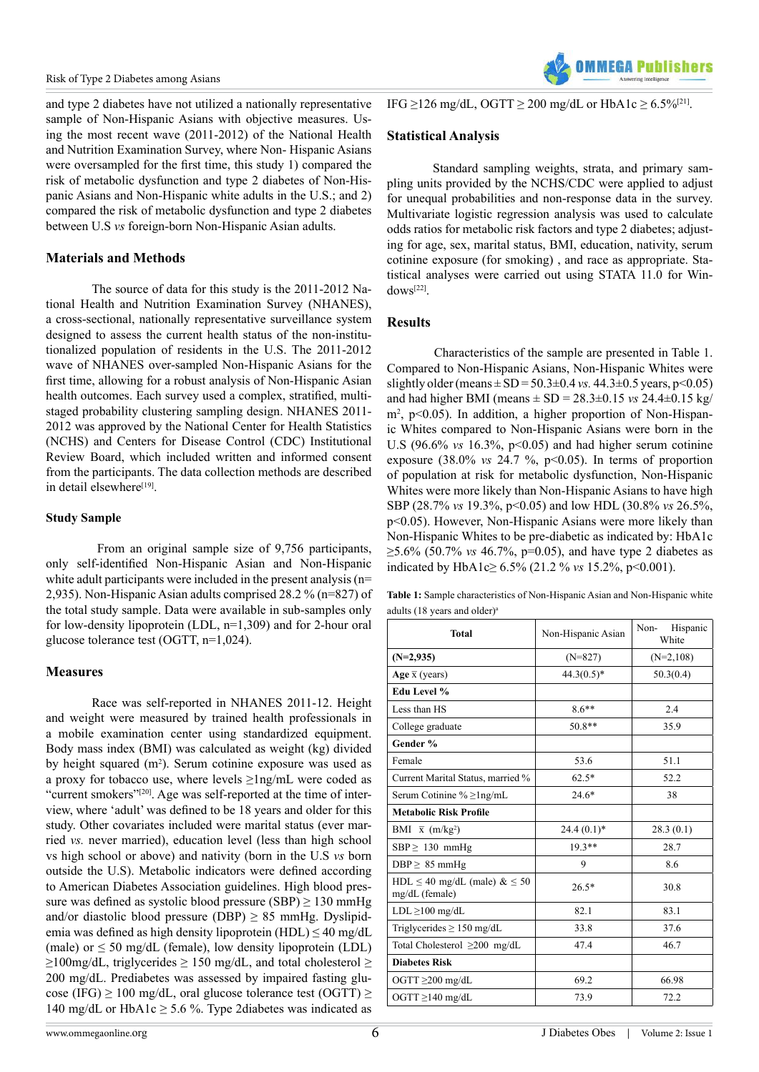#### Risk of Type 2 Diabetes among Asians

and type 2 diabetes have not utilized a nationally representative sample of Non-Hispanic Asians with objective measures. Using the most recent wave (2011-2012) of the National Health and Nutrition Examination Survey, where Non- Hispanic Asians were oversampled for the first time, this study 1) compared the risk of metabolic dysfunction and type 2 diabetes of Non-Hispanic Asians and Non-Hispanic white adults in the U.S.; and 2) compared the risk of metabolic dysfunction and type 2 diabetes between U.S *vs* foreign-born Non-Hispanic Asian adults.

# **Materials and Methods**

The source of data for this study is the 2011-2012 National Health and Nutrition Examination Survey (NHANES), a cross-sectional, nationally representative surveillance system designed to assess the current health status of the non-institutionalized population of residents in the U.S. The 2011-2012 wave of NHANES over-sampled Non-Hispanic Asians for the first time, allowing for a robust analysis of Non-Hispanic Asian health outcomes. Each survey used a complex, stratified, multistaged probability clustering sampling design. NHANES 2011- 2012 was approved by the National Center for Health Statistics (NCHS) and Centers for Disease Control (CDC) Institutional Review Board, which included written and informed consent from the participants. The data collection methods are described in detail elsewhere $[19]$ .

#### **Study Sample**

 From an original sample size of 9,756 participants, only self-identified Non-Hispanic Asian and Non-Hispanic white adult participants were included in the present analysis (n= 2,935). Non-Hispanic Asian adults comprised 28.2 % (n=827) of the total study sample. Data were available in sub-samples only for low-density lipoprotein (LDL, n=1,309) and for 2-hour oral glucose tolerance test (OGTT, n=1,024).

#### **Measures**

Race was self-reported in NHANES 2011-12. Height and weight were measured by trained health professionals in a mobile examination center using standardized equipment. Body mass index (BMI) was calculated as weight (kg) divided by height squared  $(m^2)$ . Serum cotinine exposure was used as a proxy for tobacco use, where levels ≥1ng/mL were coded as "current smokers"<sup>[20]</sup>. Age was self-reported at the time of interview, where 'adult' was defined to be 18 years and older for this study. Other covariates included were marital status (ever married *vs.* never married), education level (less than high school vs high school or above) and nativity (born in the U.S *vs* born outside the U.S). Metabolic indicators were defined according to American Diabetes Association guidelines. High blood pressure was defined as systolic blood pressure (SBP)  $\geq$  130 mmHg and/or diastolic blood pressure (DBP)  $\geq$  85 mmHg. Dyslipidemia was defined as high density lipoprotein (HDL)  $\leq 40$  mg/dL (male) or  $\leq 50$  mg/dL (female), low density lipoprotein (LDL)  $\geq$ 100mg/dL, triglycerides  $\geq$  150 mg/dL, and total cholesterol  $\geq$ 200 mg/dL. Prediabetes was assessed by impaired fasting glucose (IFG)  $\geq 100$  mg/dL, oral glucose tolerance test (OGTT)  $\geq$ 140 mg/dL or HbA1c  $\geq$  5.6 %. Type 2diabetes was indicated as

#### **Statistical Analysis**

Standard sampling weights, strata, and primary sampling units provided by the NCHS/CDC were applied to adjust for unequal probabilities and non-response data in the survey. Multivariate logistic regression analysis was used to calculate odds ratios for metabolic risk factors and type 2 diabetes; adjusting for age, sex, marital status, BMI, education, nativity, serum cotinine exposure (for smoking) , and race as appropriate. Statistical analyses were carried out using STATA 11.0 for Windows[22].

## **Results**

 Characteristics of the sample are presented in Table 1. Compared to Non-Hispanic Asians, Non-Hispanic Whites were slightly older (means  $\pm$  SD = 50.3 $\pm$ 0.4 *vs.* 44.3 $\pm$ 0.5 years, p<0.05) and had higher BMI (means ± SD = 28.3±0.15 *vs* 24.4±0.15 kg/ m2 , p<0.05). In addition, a higher proportion of Non-Hispanic Whites compared to Non-Hispanic Asians were born in the U.S (96.6%  $vs$  16.3%,  $p<0.05$ ) and had higher serum cotinine exposure  $(38.0\% \text{ vs } 24.7 \% , p<0.05)$ . In terms of proportion of population at risk for metabolic dysfunction, Non-Hispanic Whites were more likely than Non-Hispanic Asians to have high SBP (28.7% *vs* 19.3%, p<0.05) and low HDL (30.8% *vs* 26.5%, p<0.05). However, Non-Hispanic Asians were more likely than Non-Hispanic Whites to be pre-diabetic as indicated by: HbA1c ≥5.6% (50.7% *vs* 46.7%, p=0.05), and have type 2 diabetes as indicated by HbA1c≥ 6.5% (21.2 % *vs* 15.2%, p<0.001).

| <b>Table 1:</b> Sample characteristics of Non-Hispanic Asian and Non-Hispanic white |
|-------------------------------------------------------------------------------------|
| adults (18 years and older) <sup>a</sup>                                            |

| <b>Total</b>                                             | Non-Hispanic Asian | Non-<br>Hispanic<br>White |  |
|----------------------------------------------------------|--------------------|---------------------------|--|
| $(N=2,935)$                                              | $(N=827)$          | $(N=2,108)$               |  |
| Age $\bar{x}$ (years)                                    | $44.3(0.5)^*$      | 50.3(0.4)                 |  |
| Edu Level %                                              |                    |                           |  |
| Less than HS                                             | $8.6**$            | 2.4                       |  |
| College graduate                                         | $50.8**$           | 35.9                      |  |
| Gender %                                                 |                    |                           |  |
| Female                                                   | 53.6               | 51.1                      |  |
| Current Marital Status, married %                        | $62.5*$            | 52.2                      |  |
| Serum Cotinine % $\geq$ lng/mL                           | $24.6*$            | 38                        |  |
| <b>Metabolic Risk Profile</b>                            |                    |                           |  |
| BMI $\bar{x}$ (m/kg <sup>2</sup> )                       | $24.4(0.1)$ *      | 28.3(0.1)                 |  |
| $SBP \geq 130$ mmHg                                      | $19.3**$           | 28.7                      |  |
| $DBP \geq 85$ mmHg                                       | 9<br>8.6           |                           |  |
| HDL $\leq$ 40 mg/dL (male) & $\leq$ 50<br>mg/dL (female) | $26.5*$            | 30.8                      |  |
| $LDL \ge 100$ mg/dL                                      | 82.1               | 83.1                      |  |
| Triglycerides $\geq 150$ mg/dL                           | 33.8               | 37.6                      |  |
| Total Cholesterol $\geq$ 200 mg/dL                       | 47.4               | 46.7                      |  |
| <b>Diabetes Risk</b>                                     |                    |                           |  |
| OGTT $\geq$ 200 mg/dL                                    | 69.2               | 66.98                     |  |
| OGTT $\geq$ 140 mg/dL                                    | 73.9               | 72.2                      |  |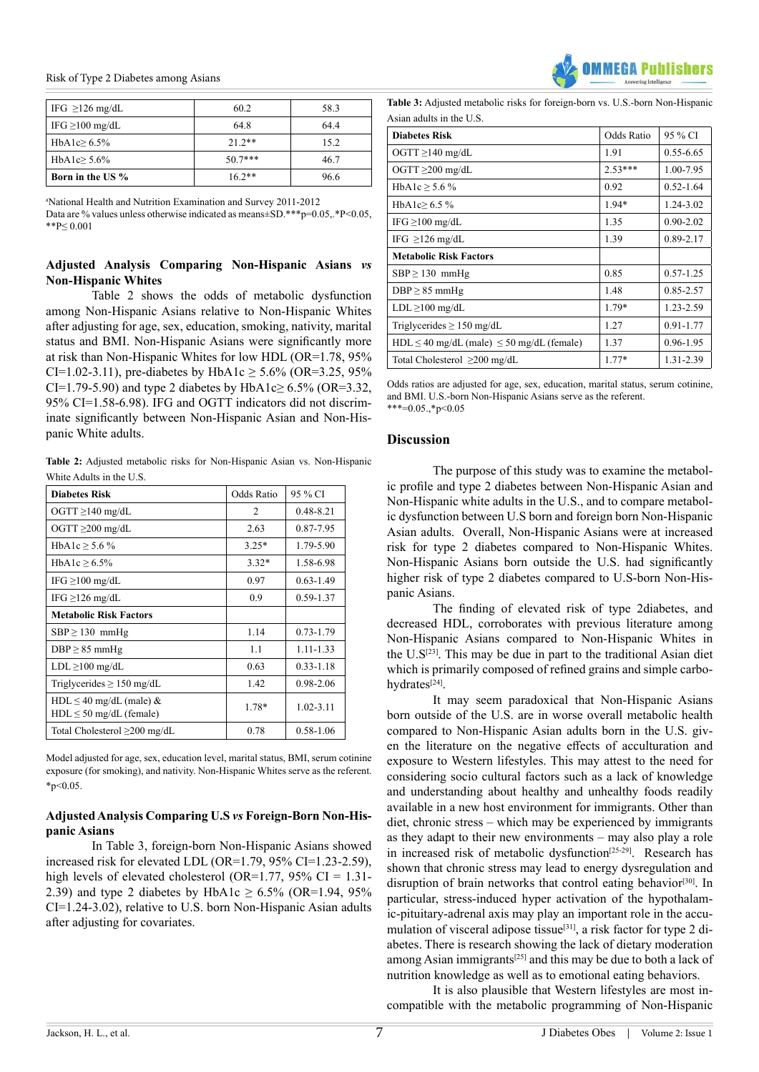#### Risk of Type 2 Diabetes among Asians

| IFG $\geq$ 126 mg/dL | 60.2      | 58.3 |
|----------------------|-----------|------|
| IFG $\geq$ 100 mg/dL | 64.8      | 64.4 |
| HbA1c > 6.5%         | $21.2**$  | 15.2 |
| HbA1c $> 5.6\%$      | $50.7***$ | 46.7 |
| Born in the US %     | $16.2**$  | 96.6 |

a National Health and Nutrition Examination and Survey 2011-2012

Data are % values unless otherwise indicated as means±SD.\*\*\*p=0.05,.\*P<0.05, \*\*P≤ 0.001

#### **Adjusted Analysis Comparing Non-Hispanic Asians** *vs*  **Non-Hispanic Whites**

Table 2 shows the odds of metabolic dysfunction among Non-Hispanic Asians relative to Non-Hispanic Whites after adjusting for age, sex, education, smoking, nativity, marital status and BMI. Non-Hispanic Asians were significantly more at risk than Non-Hispanic Whites for low HDL (OR=1.78, 95% CI=1.02-3.11), pre-diabetes by HbA1c > 5.6% (OR=3.25, 95%) CI=1.79-5.90) and type 2 diabetes by HbA1c $\geq$  6.5% (OR=3.32, 95% CI=1.58-6.98). IFG and OGTT indicators did not discriminate significantly between Non-Hispanic Asian and Non-Hispanic White adults.

**Table 2:** Adjusted metabolic risks for Non-Hispanic Asian vs. Non-Hispanic White Adults in the U.S.

| <b>Diabetes Risk</b>                                         | Odds Ratio | 95 % CI       |
|--------------------------------------------------------------|------------|---------------|
| OGTT $\geq$ 140 mg/dL                                        | 2          | $0.48 - 8.21$ |
| OGTT $\geq$ 200 mg/dL                                        | 2.63       | 0.87-7.95     |
| HbA1c ≥ 5.6 %                                                | $3.25*$    | 1.79-5.90     |
| HbA1c > 6.5%                                                 | $3.32*$    | 1.58-6.98     |
| IFG $\geq$ 100 mg/dL                                         | 0.97       | $0.63 - 1.49$ |
| IFG $\geq$ 126 mg/dL                                         | 0.9        | $0.59 - 1.37$ |
| <b>Metabolic Risk Factors</b>                                |            |               |
| $SBP \ge 130$ mmHg                                           | 1.14       | $0.73 - 1.79$ |
| $DBP \geq 85$ mmHg                                           | 1.1        | $1.11 - 1.33$ |
| $LDL \ge 100$ mg/dL                                          | 0.63       | $0.33 - 1.18$ |
| Triglycerides $\geq$ 150 mg/dL                               | 1.42       | $0.98 - 2.06$ |
| $HDL \leq 40$ mg/dL (male) &<br>$HDL \leq 50$ mg/dL (female) | 1.78*      | $1.02 - 3.11$ |
| Total Cholesterol ≥200 mg/dL                                 | 0.78       | $0.58 - 1.06$ |

Model adjusted for age, sex, education level, marital status, BMI, serum cotinine exposure (for smoking), and nativity. Non-Hispanic Whites serve as the referent.  $*_{p<0.05}$ .

## **Adjusted Analysis Comparing U.S** *vs* **Foreign-Born Non-Hispanic Asians**

In Table 3, foreign-born Non-Hispanic Asians showed increased risk for elevated LDL (OR=1.79, 95% CI=1.23-2.59), high levels of elevated cholesterol (OR=1.77, 95% CI = 1.31-2.39) and type 2 diabetes by HbA1c  $\geq$  6.5% (OR=1.94, 95%) CI=1.24-3.02), relative to U.S. born Non-Hispanic Asian adults after adjusting for covariates.

**Table 3:** Adjusted metabolic risks for foreign-born vs. U.S.-born Non-Hispanic Asian adults in the U.S.

| <b>Diabetes Risk</b>                                | <b>Odds Ratio</b> | 95 % CI       |
|-----------------------------------------------------|-------------------|---------------|
| OGTT $\geq$ 140 mg/dL                               | 1.91              | $0.55 - 6.65$ |
| OGTT $\geq$ 200 mg/dL                               | $2.53***$         | 1.00-7.95     |
| HbA1c $\ge$ 5.6 %                                   | 0.92              | $0.52 - 1.64$ |
| HbA1 $c$ 6.5 %                                      | 1.94*             | 1.24-3.02     |
| IFG $\geq$ 100 mg/dL                                | 1.35              | $0.90 - 2.02$ |
| IFG $\geq$ 126 mg/dL                                | 1.39              | $0.89 - 2.17$ |
| <b>Metabolic Risk Factors</b>                       |                   |               |
| $SBP \ge 130$ mmHg                                  | 0.85              | $0.57 - 1.25$ |
| $DBP \geq 85$ mmHg                                  | 1.48              | $0.85 - 2.57$ |
| $LDL \ge 100$ mg/dL                                 | 1.79*             | 1.23-2.59     |
| Triglycerides $\geq$ 150 mg/dL                      | 1.27              | $0.91 - 1.77$ |
| $HDL \leq 40$ mg/dL (male) $\leq 50$ mg/dL (female) | 1.37              | $0.96 - 1.95$ |
| Total Cholesterol $\geq$ 200 mg/dL                  | $1.77*$           | 1.31-2.39     |

Odds ratios are adjusted for age, sex, education, marital status, serum cotinine, and BMI. U.S.-born Non-Hispanic Asians serve as the referent. \*\*\*=0.05.,\*p<0.05

#### **Discussion**

The purpose of this study was to examine the metabolic profile and type 2 diabetes between Non-Hispanic Asian and Non-Hispanic white adults in the U.S., and to compare metabolic dysfunction between U.S born and foreign born Non-Hispanic Asian adults. Overall, Non-Hispanic Asians were at increased risk for type 2 diabetes compared to Non-Hispanic Whites. Non-Hispanic Asians born outside the U.S. had significantly higher risk of type 2 diabetes compared to U.S-born Non-Hispanic Asians.

The finding of elevated risk of type 2diabetes, and decreased HDL, corroborates with previous literature among Non-Hispanic Asians compared to Non-Hispanic Whites in the  $U.S^{[23]}$ . This may be due in part to the traditional Asian diet which is primarily composed of refined grains and simple carbohydrates[24].

It may seem paradoxical that Non-Hispanic Asians born outside of the U.S. are in worse overall metabolic health compared to Non-Hispanic Asian adults born in the U.S. given the literature on the negative effects of acculturation and exposure to Western lifestyles. This may attest to the need for considering socio cultural factors such as a lack of knowledge and understanding about healthy and unhealthy foods readily available in a new host environment for immigrants. Other than diet, chronic stress – which may be experienced by immigrants as they adapt to their new environments – may also play a role in increased risk of metabolic dysfunction<sup>[25-29]</sup>. Research has shown that chronic stress may lead to energy dysregulation and disruption of brain networks that control eating behavior<sup>[30]</sup>. In particular, stress-induced hyper activation of the hypothalamic-pituitary-adrenal axis may play an important role in the accumulation of visceral adipose tissue<sup>[31]</sup>, a risk factor for type 2 diabetes. There is research showing the lack of dietary moderation among Asian immigrants<sup>[25]</sup> and this may be due to both a lack of nutrition knowledge as well as to emotional eating behaviors.

It is also plausible that Western lifestyles are most incompatible with the metabolic programming of Non-Hispanic